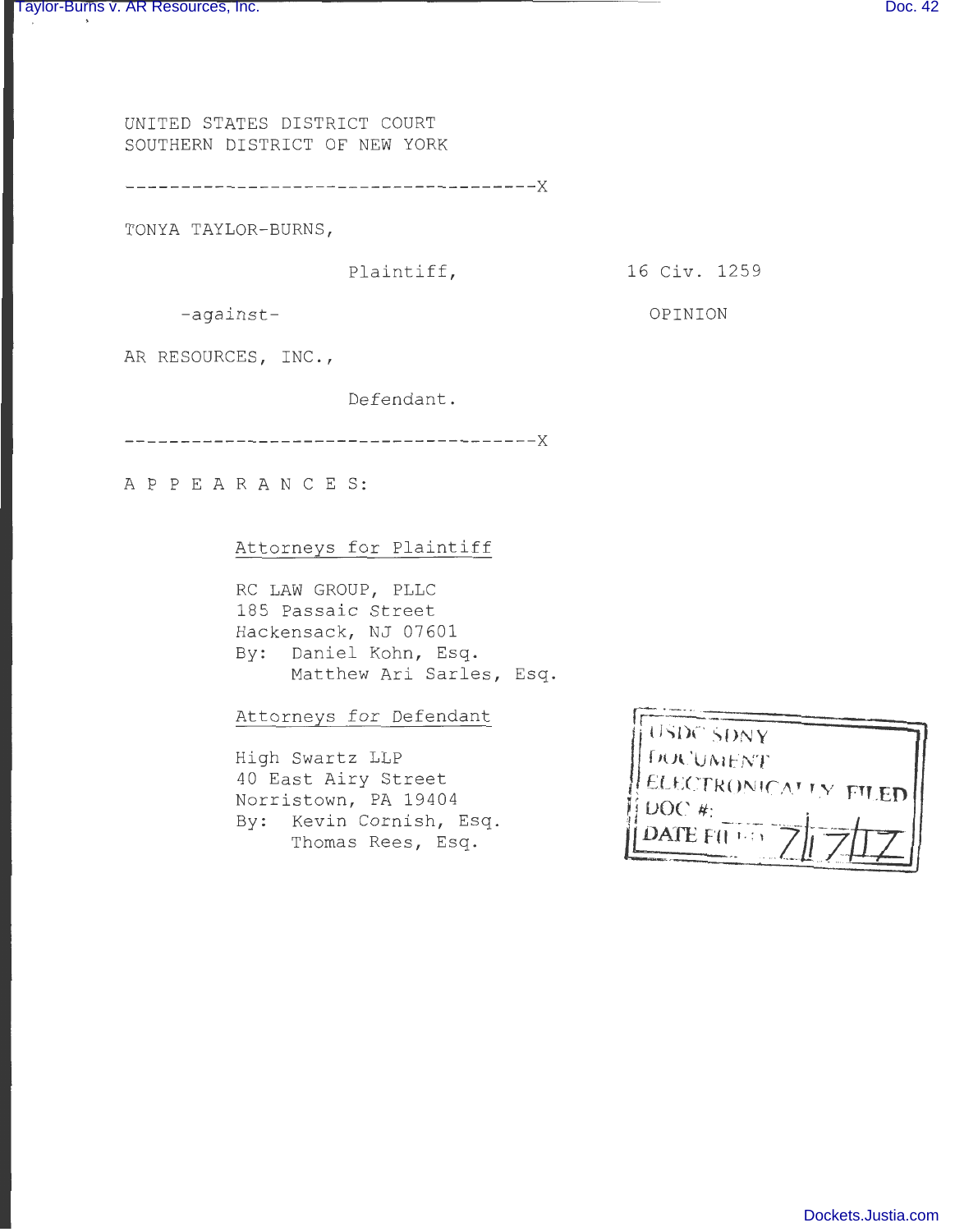UNITED STATES DISTRICT COURT SOUTHERN DISTRICT OF NEW YORK

-------------------------------------x

TONYA TAYLOR-BURNS,

Plaintiff,

16 Civ. 1 259

OPINION

-against-

AR RESOURCES, INC.,

Defendant .

-------------------------------------x

A P P E A R A N C E S:

### Attorneys for Plaintiff

RC LAW GROUP, PLLC 185 Passaic Street Hackensack, NJ 07601 By: Daniel Kohn, Esq. Matthew Ari Sarles, Esq.

Attorneys for Defendant

High Swartz LLP 40 East Airy Street Norristown, PA 19404 By: Kevin Cornish, Esq. Thomas Rees, Esq.

| USDC SDNY                                              |  |
|--------------------------------------------------------|--|
| <b>FRANDMENT</b>                                       |  |
|                                                        |  |
|                                                        |  |
|                                                        |  |
|                                                        |  |
| ELECTRONICATIV FILED<br>DOC#<br>$\text{DATE}$ $F(1,1)$ |  |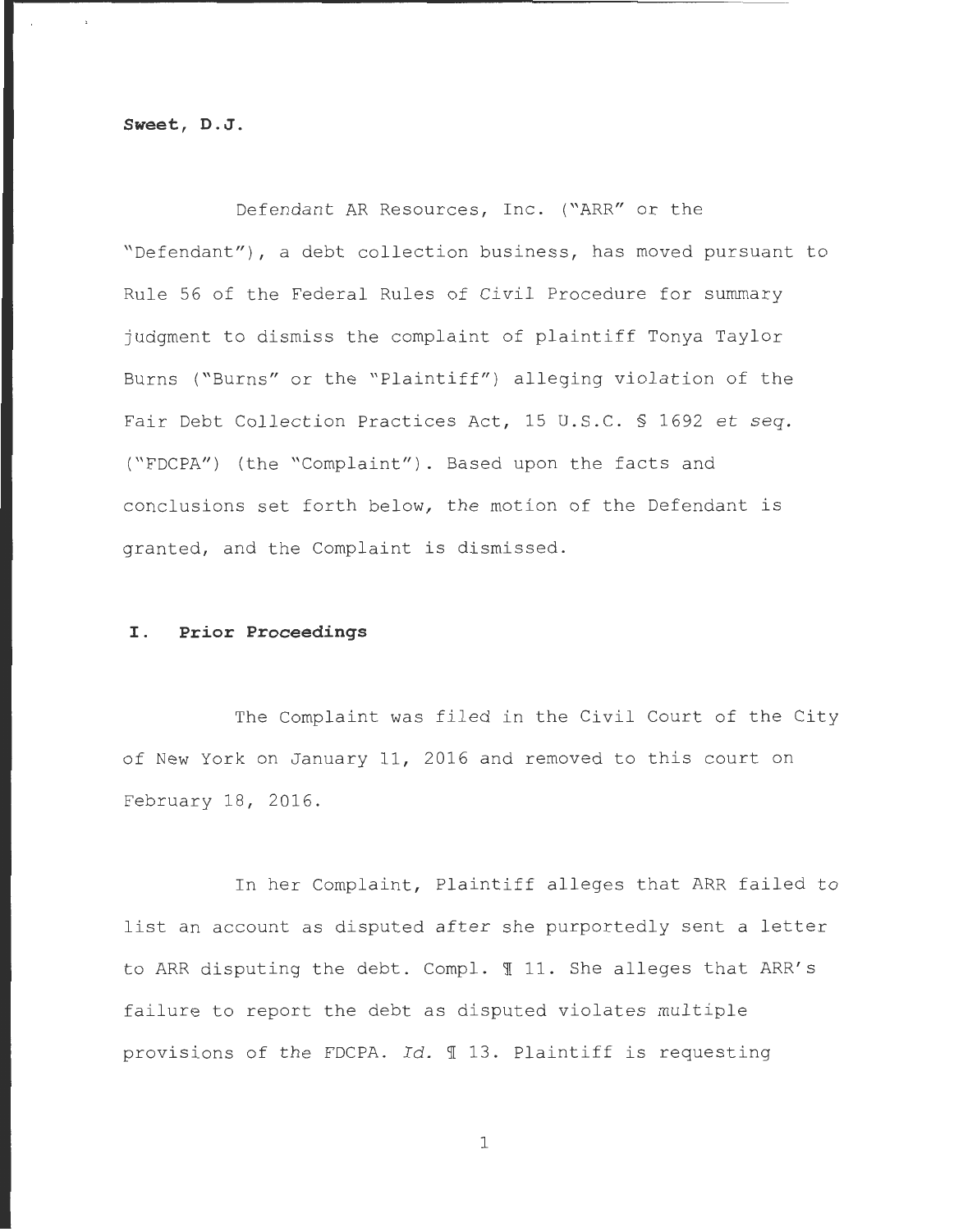**Sweet, D.J.** 

Defendant AR Resources, Inc. ("ARR" or the "Defendant"), a debt collection business, has moved pursuant to Rule 56 of the Federal Rules of Civil Procedure for summary judgment to dismiss the complaint of plaintiff Tonya Taylor Burns ("Burns" or the "Plaintiff") alleging violation of the Fair Debt Collection Practices Act, 15 U.S.C. § 1692 et *seq.*  ( "FDCPA") (the "Complaint") . Based upon the facts and conclusions set forth below, the motion of the Defendant is granted, and the Complaint is dismissed.

#### I. **Prior Proceedings**

The Complaint was filed in the Civil Court of the City of New York on January 11, 2016 and removed to this court on February 18, 2016.

In her Complaint, Plaintiff alleges that ARR failed to list an account as disputed after she purportedly sent a letter to ARR disputing the debt. Compl. 11. She alleges that ARR's failure to report the debt as disputed violates multiple provisions of the FDCPA. *Id.* 13. Plaintiff is requesting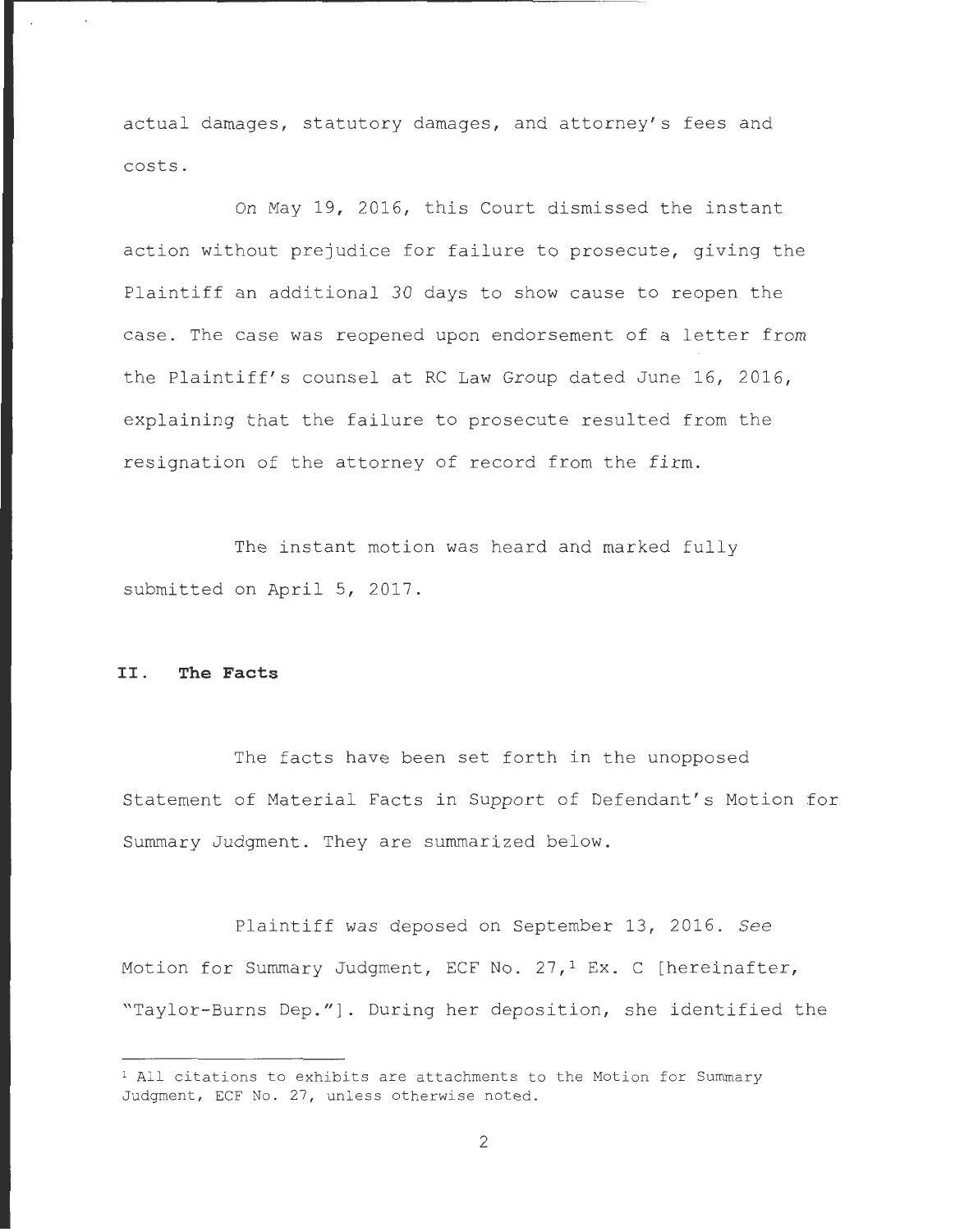actual damages, statutory damages, and attorney's fees and costs .

On May 19, 2016, this Court dismissed the instant action without prejudice for failure to prosecute, giving the Plaintiff an additional 30 days to show cause to reopen the case. The case was reopened upon endorsement of a letter from the Plaintiff's counsel at RC Law Group dated June 16, 2016, explaining that the failure to prosecute resulted from the resignation of the attorney of record from the firm.

The instant motion was heard and marked fully submitted on April 5, 2017.

# II . **The Facts**

The facts have been set forth in the unopposed Statement of Material Facts in Support of Defendant's Motion for Summary Judgment. They are summarized below.

Plaintiff was deposed on September 13, 2016. See Motion for Summary Judgment, ECF No. 27,<sup>1</sup> Ex. C [hereinafter, "Taylor-Burns Dep."]. During her deposition, she identified the

 $1$  All citations to exhibits are attachments to the Motion for Summary Judgment, ECF No. 27, unless otherwise noted.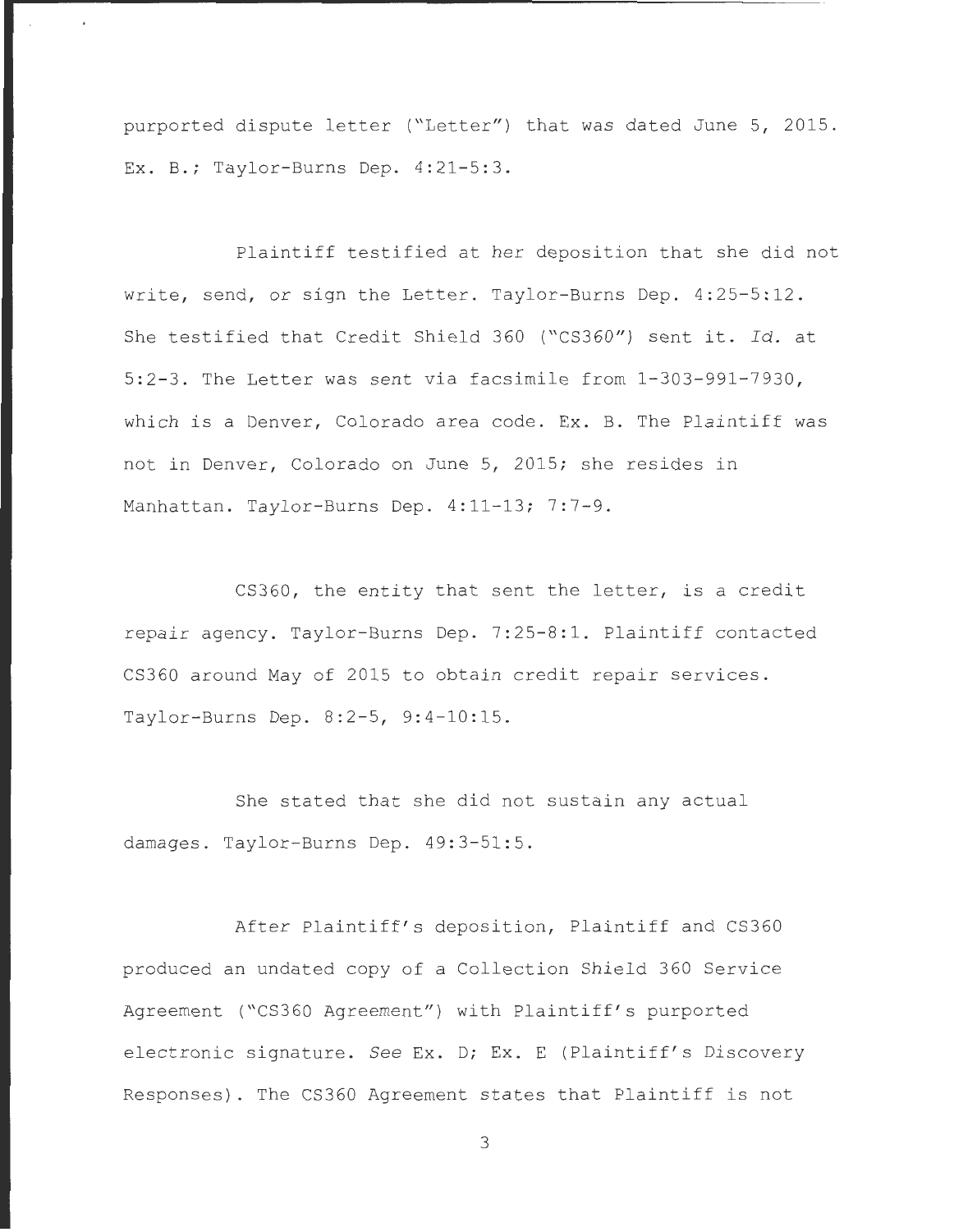purported dispute letter ("Letter") that was dated June 5, 2015. Ex. B.; Taylor-Burns Dep.  $4:21-5:3$ .

Plaintiff testified at her deposition that she did not write, send, or sign the Letter. Taylor-Burns Dep. 4:25-5:12. She testified that Credit Shield 360 ("CS360") sent it. Id. at 5:2-3. The Letter was sent via facsimile from  $1-303-991-7930$ , which is a Denver, Colorado area code. Ex. B. The Plaintiff was not in Denver, Colorado on June 5, 2015; she resides in Manhattan. Taylor-Burns Dep. 4:11-13; 7:7-9.

CS360, the entity that sent the letter, is a credit repair agency. Taylor-Burns Dep. 7:25-8:1. Plaintiff contacted CS360 around May of 2015 to obtain credit repair services . Taylor-Burns Dep. 8:2-5, 9:4-10:15.

She stated that she did not sustain any actual damages. Taylor-Burns Dep. 49:3-51:5.

After Plaintiff's deposition, Plaintiff and CS360 produced an undated copy of a Collection Shield 360 Service Agreement ("CS360 Agreement") with Plaintiff's purported electronic signature. See Ex. D; Ex. E (Plaintiff's Discovery Responses). The CS360 Agreement states that Plaintiff is not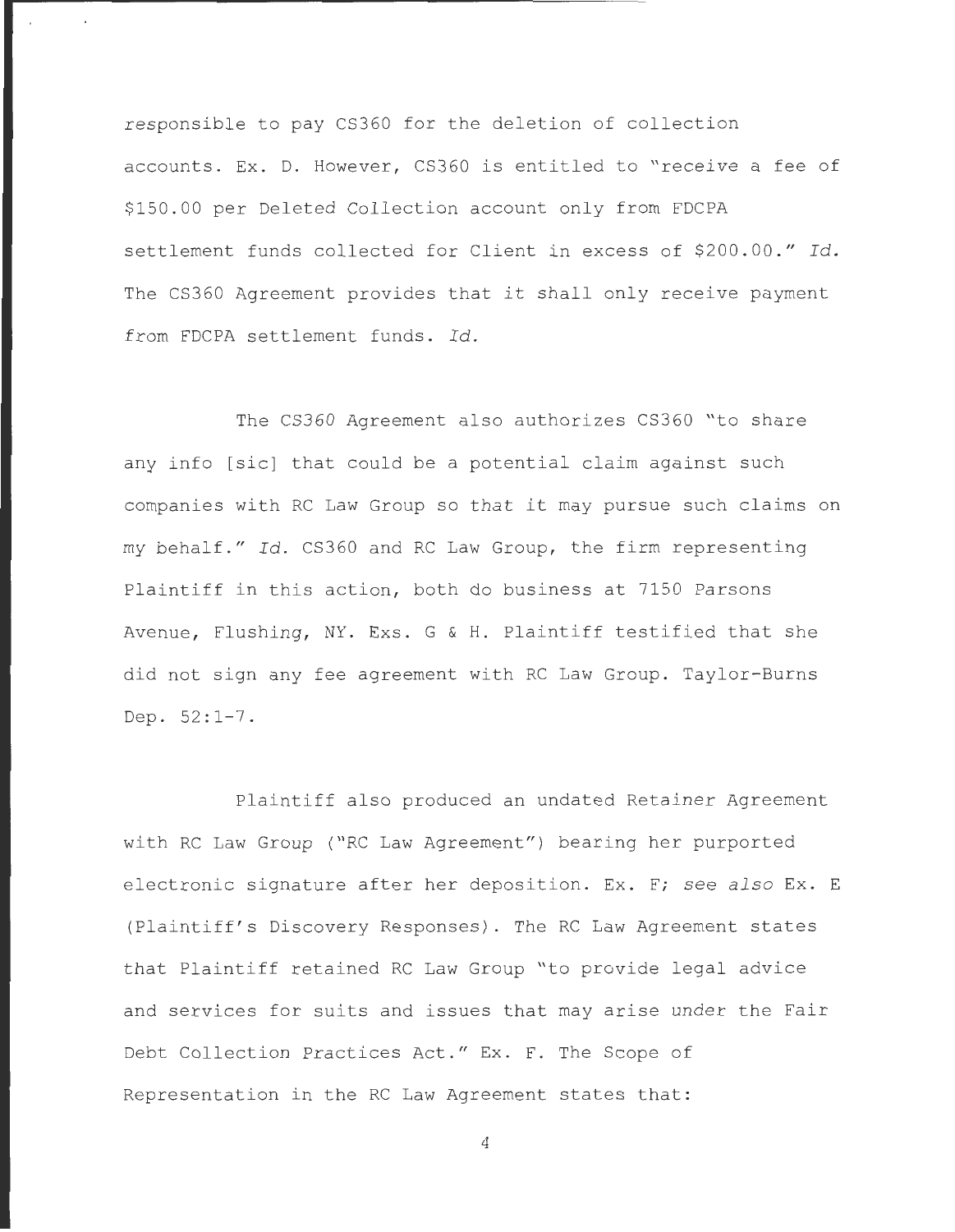responsible to pay CS360 for the deletion of collection accounts. Ex. D. However, CS360 is entitled to "receive a fee of \$ 150.00 per Deleted Collection account only from FDCPA settlement funds collected for Client in excess of \$200.00." Id. The CS360 Agreement provides that it shall only receive payment from FDCPA settlement funds. *Id.* 

The CS360 Agreement also authorizes CS360 "to share any info [sic] that could be a potential claim against such companies with RC Law Group so that it may pursue such claims on my behalf." Id. CS360 and RC Law Group, the firm representing Plaintiff in this action, both do business at 7150 Parsons Avenue, Flushing, NY. Exs. G & H. Plaintiff testified that she did not sign any fee agreement with RC Law Group. Taylor-Burns Dep.  $52:1-7$ .

Plaintiff also produced an undated Retainer Agreement with RC Law Group ("RC Law Agreement") bearing her purported electronic signature after her deposition. Ex. F; see also Ex. E (Plaintiff' s Discovery Responses) . The RC Law Agreement states that Plaintiff retained RC Law Group "to provide legal advice and services for suits and issues that may arise under the Fair Debt Collection Practices Act ." Ex. F. The Scope of Representation in the RC Law Agreement states that: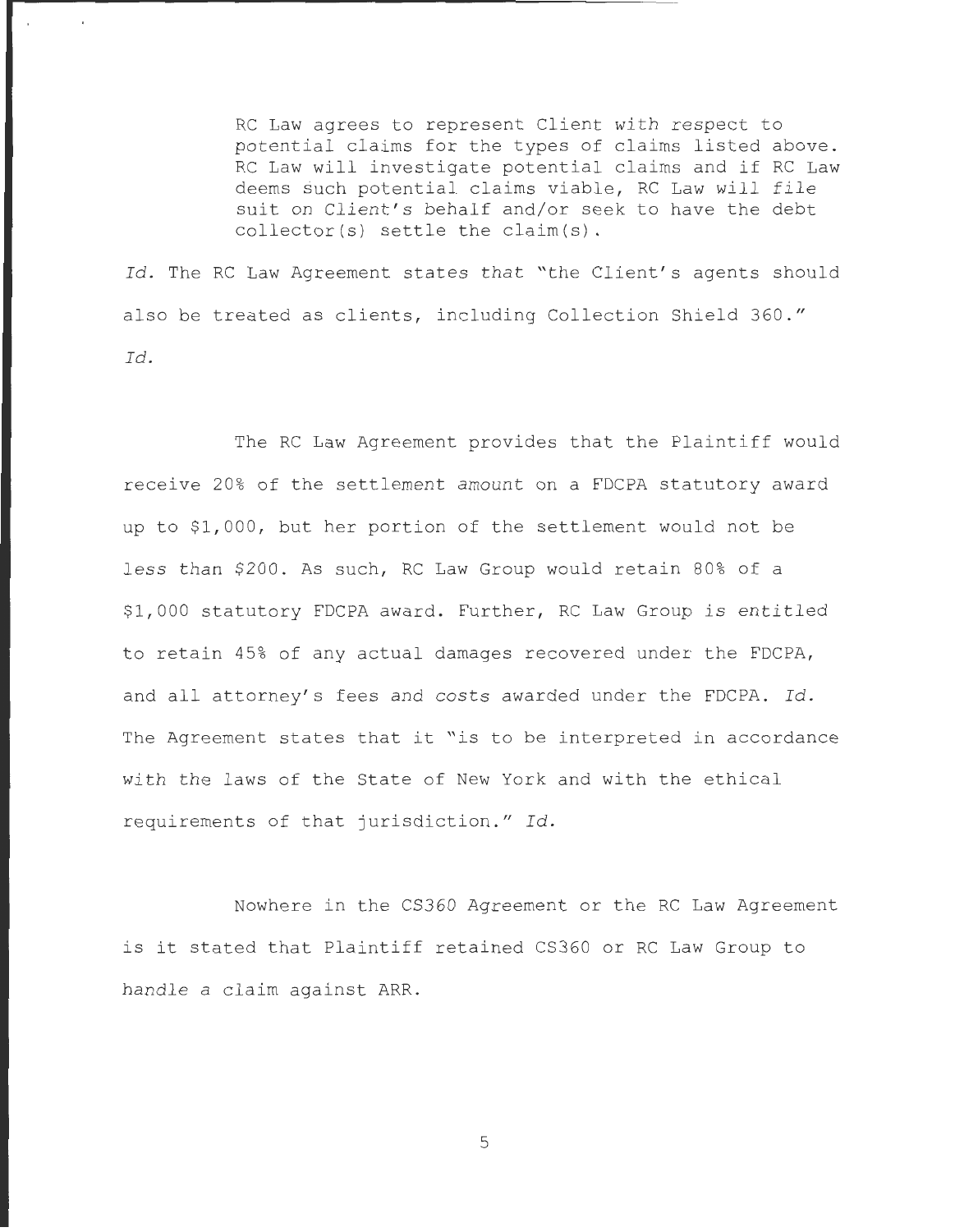RC Law agrees to represent Client with respect to potential claims for the types of claims listed above. RC Law will investigate potential claims and if RC Law deems such potential claims viable, RC Law will file suit on Client's behalf and/or seek to have the debt  $\text{collector}(s)$  settle the claim(s).

Id. The RC Law Agreement states that "the Client's agents should also be treated as clients, including Collection Shield 360." *Id.* 

The RC Law Agreement provides that the Plaintiff would receive 20% of the settlement amount on a FDCPA statutory award up to \$1,000, but her portion of the settlement would not be less than \$200. As such, RC Law Group would retain 80% of a \$1 , 000 statutory FDCPA award. Further, RC Law Group is entitled to retain 45% of any actual damages recovered under the FDCPA, and all attorney's fees and costs awarded under the FDCPA. Id. The Agreement states that it "is to be interpreted in accordance with the laws of the State of New York and with the ethical requirements of that jurisdiction." Id.

Nowhere in the CS360 Agreement or the RC Law Agreement is it stated that Plaintiff retained CS360 or RC Law Group to handle a claim against ARR .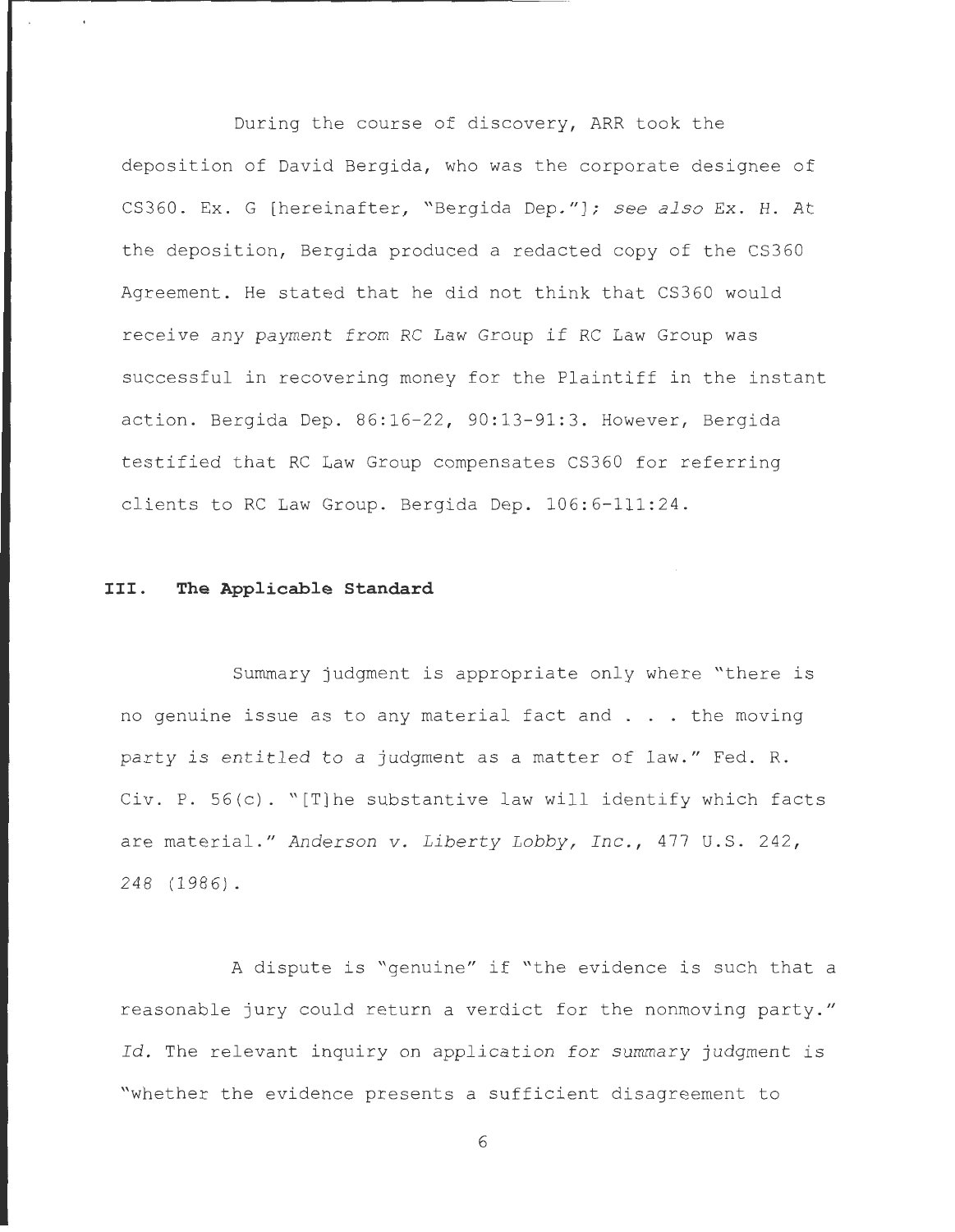During the course of discovery, ARR took the deposition of David Bergida, who was the corporate designee of CS360. Ex. G [hereinafter, "Bergida Dep ." ] ; *see also* Ex. H. At the deposition, Bergida produced a redacted copy of the CS360 Agreement. He stated that he did not think that CS360 would receive any payment from RC Law Group if RC Law Group was successful in recovering money for the Plaintiff in the instant action. Bergida Dep. 86:16-22, 90:13-91:3. However, Bergida testified that RC Law Group compensates CS360 for referring clients to RC Law Group. Bergida Dep. 106:6-111:24.

# **III. The Applicable Standard**

Summary judgment is appropriate only where "there is no genuine issue as to any material fact and . . the moving party is entitled to a judgment as a matter of law." Fed. R. Civ. P. 56(c) . "[T]he substantive law will identify which facts are material." Anderson v. Liberty Lobby, Inc., 477 U.S. 242, 248 (1986) .

A dispute is "genuine" if "the evidence is such that a reasonable jury could return a verdict for the nonmoving party." *Id.* The relevant inquiry on application for summary judgment is "whether the evidence presents a sufficient disagreement to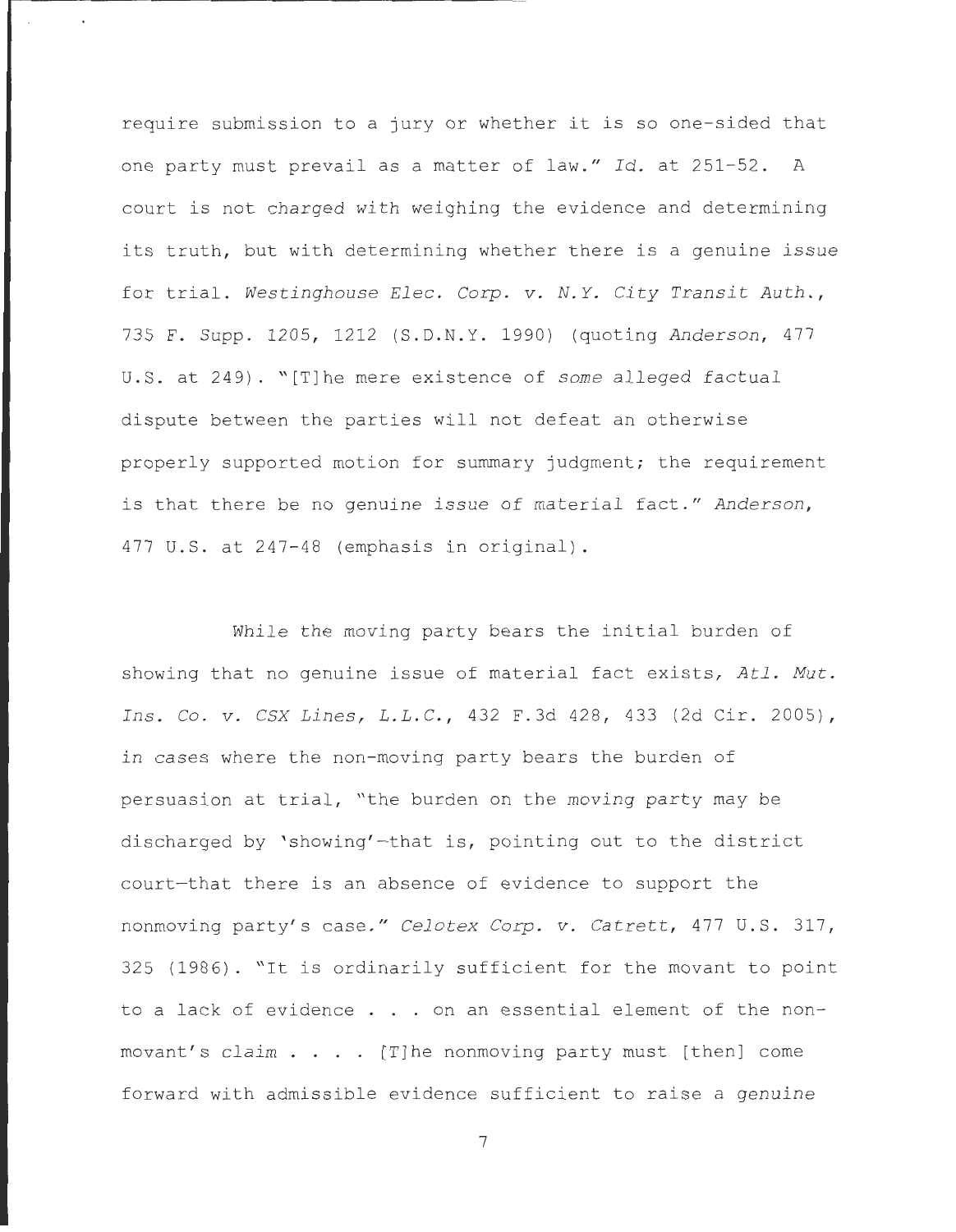require submission to a jury or whether it is so one-sided that one party must prevail as a matter of law." Id. at 251-52. A court is not charged with weighing the evidence and determining its truth, but with determining whether there is a genuine issue for trial. Westinghouse Elec. Corp. v. N.Y. City Transit Auth., 735 F . Supp . 1205 , 1212 (S.D . N. Y. 1990) (quoting *Anderson ,* 477 U.S. at 249). "[T]he mere existence of *some* alleged factual dispute between the parties will not defeat an otherwise properly supported motion for summary judgment; the requirement is that there be no genuine issue of material fact." Anderson, 477 U.S. at 247-48 (emphasis in original).

While the moving party bears the initial burden of showing that no genuine issue of material fact exists, *Atl. Mut . Ins .* Co. *v . CSX Lines, L . L . C.,* 432 F . 3d 428 , 433 (2d Cir . 2005) , in cases where the non-moving party bears the burden of persuasion at trial, "the burden on the moving party may be discharged by 'showing'-that is, pointing out to the district court-that there is an absence of evidence to support the nonmoving party's case." *Celotex Corp. v. Catrett*, 477 U.S. 317, 325 (1986) . "It is ordinarily sufficient for the movant to point to a lack of evidence . . . on an essential element of the nonmovant's claim  $\ldots$  . [T]he nonmoving party must [then] come forward with admissible evidence sufficient to raise a genuine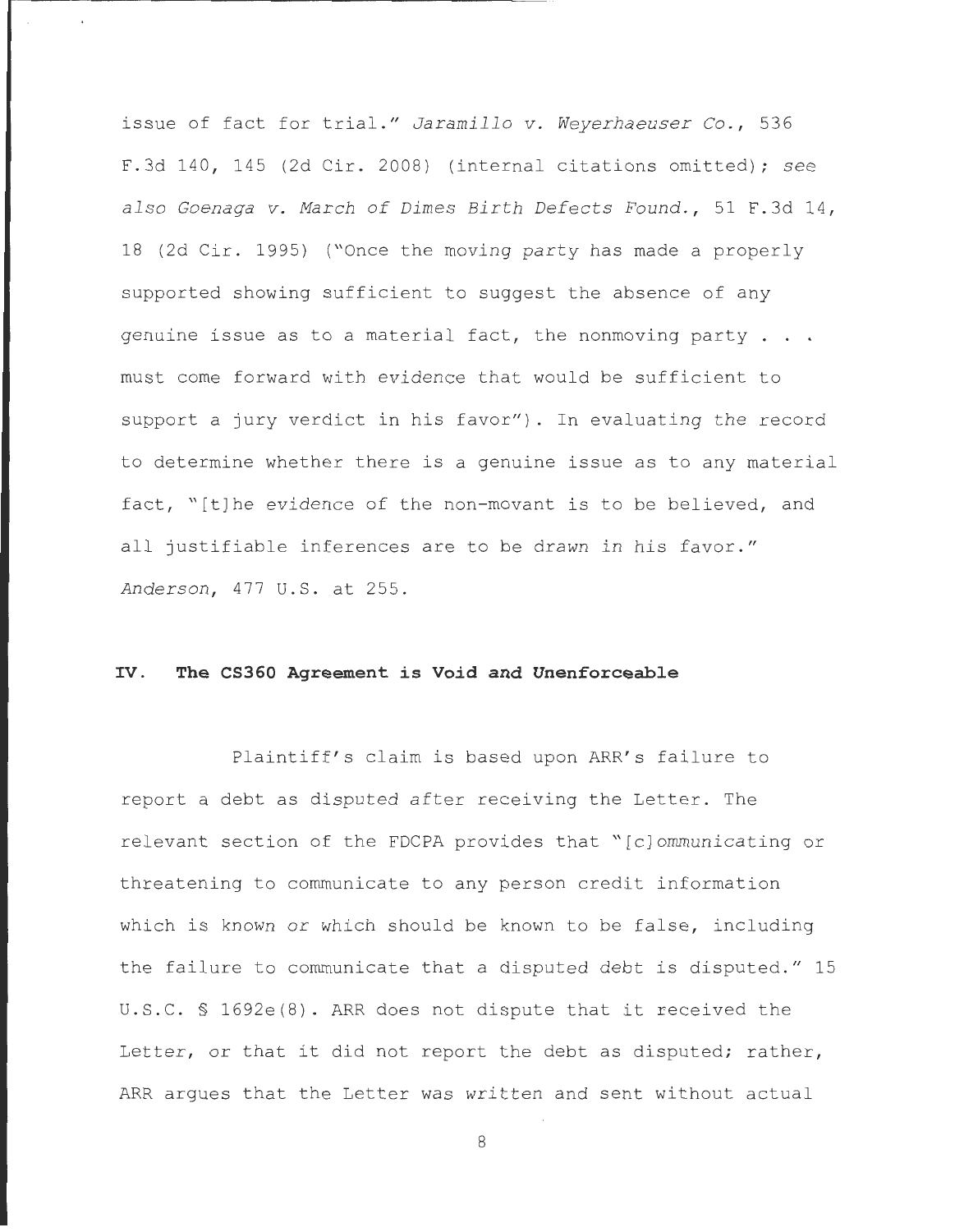issue of fact for trial." *Jaramillo v. Weyerhaeuser Co.*, 536 F . 3d 140 , 145 (2d Cir . 2008) (internal citations omitted) ; *see also Goenaga v. March of Dimes Birth Defects Found .,* 51 F . 3d 14 , 18 (2d Cir. 1995) ("Once the moving party has made a properly supported showing sufficient to suggest the absence of any genuine issue as to a material fact, the nonmoving party  $\ldots$ . must come forward with evidence that would be sufficient to support a jury verdict in his favor"). In evaluating the record to determine whether there is a genuine issue as to any material fact, "[t] he evidence of the non-movant is to be believed, and all justifiable inferences are to be drawn in his favor." *Anderson ,* 477 U. S . at 255.

# **IV. The CS360 Agreement is Void and Unenforceable**

Plaintiff's claim is based upon ARR's failure to report a debt as disputed after receiving the Letter. The relevant section of the FDCPA provides that "[c]ommunicating or threatening to communicate to any person credit information which is known or which should be known to be false, including the failure to communicate that a disputed debt is disputed." 15 U.S.C. § 1692e(8). ARR does not dispute that it received the Letter, or that it did not report the debt as disputed; rather, ARR argues that the Letter was written and sent without actual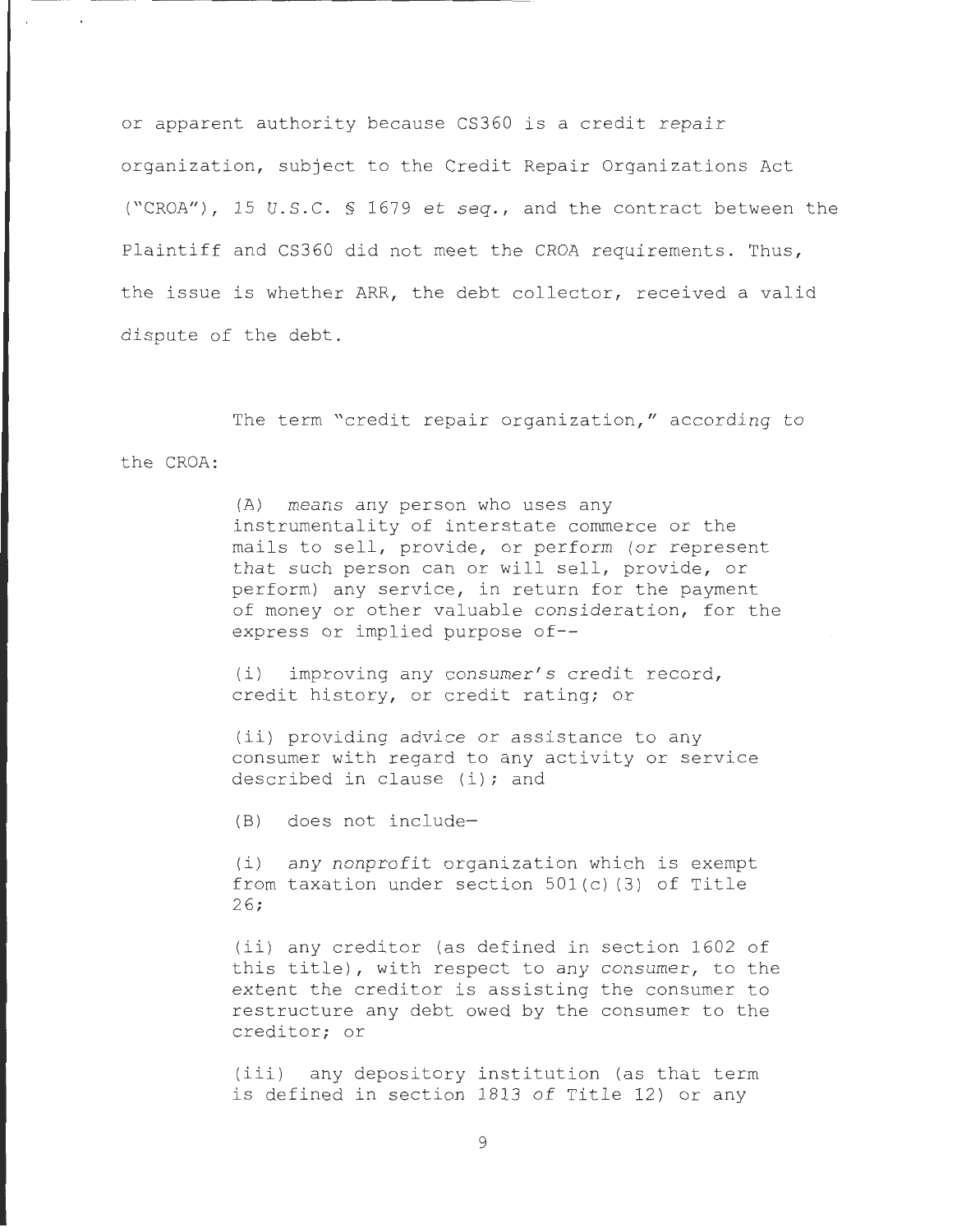or apparent authority because CS360 is a credit repair organization, subject to the Credit Repair Organizations Act ("CROA"), 15 U.S.C. § 1679 et seq., and the contract between the Plaintiff and CS360 did not meet the CROA requirements. Thus, the issue is whether ARR, the debt collector, received a valid dispute of the debt.

the CROA: The term "credit repair organization," according to

> (A) means any person who uses any instrumentality of interstate commerce or the mails to sell, provide, or perform (or represent that such person can or will sell, provide, or perform) any service, in return for the payment of money or other valuable consideration, for the express or implied purpose of--

(i) improving any consumer's credit record, credit history, or credit rating; or

(ii) providing advice or assistance to any consumer with regard to any activity or service described in clause (i); and

 $(B)$  does not include-

(i) any nonprofit organization which is exempt from taxation under section  $501(c)$  (3) of Title  $26;$ 

(ii) any creditor (as defined in section 1602 of this title), with respect to any consumer, to the extent the creditor is assisting the consumer to restructure any debt owed by the consumer to the creditor; or

(iii) any depository institution (as that term is defined in section 1813 of Title 12) or any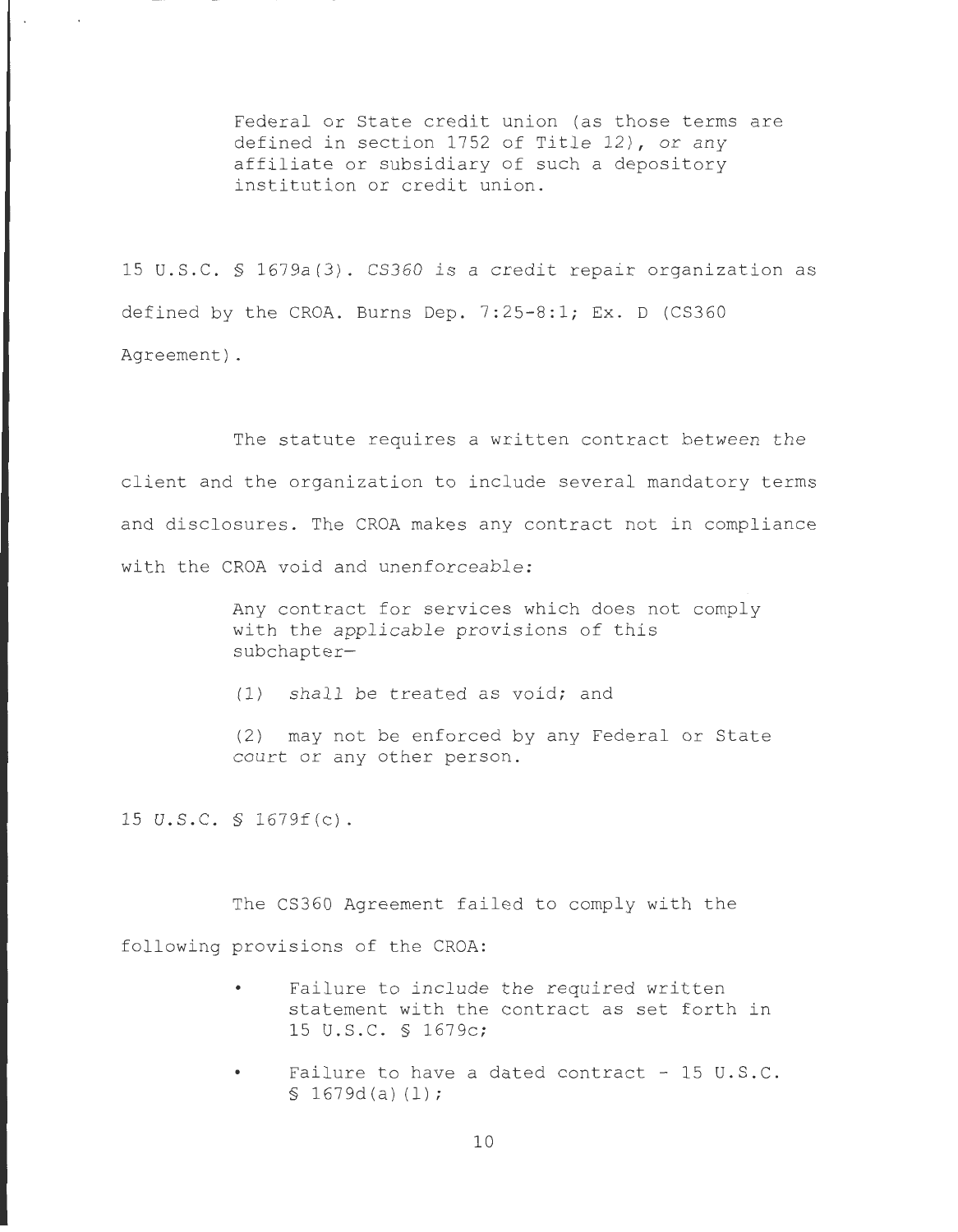Federal or State credit union (as those terms are defined in section 1752 of Title  $12$ ), or any affiliate or subsidiary of such a depository institution or credit union.

15 U. S . C. § 1679a(3) . CS360 is a credit repair organization as defined by the CROA. Burns Dep.  $7:25-8:1$ ; Ex. D (CS360) Agreement) .

The statute requires a written contract between the client and the organization to include several mandatory terms and disclosures. The CROA makes any contract not in compliance with the CROA void and unenforceable:

> Any contract for services which does not comply with the applicable provisions of this subchapter-

 $(1)$  shall be treated as void; and

(2) may not be enforced by any Federal or State court or any other person.

15 U.S.C. § 1679f(c).

The CS360 Agreement failed to comply with the following provisions of the CROA:

- Failure to include the required written statement with the contract as set forth in 15 U.S.C. § 1679c;
- Failure to have a dated contract  $-15$  U.S.C.  $$1679d(a)(1);$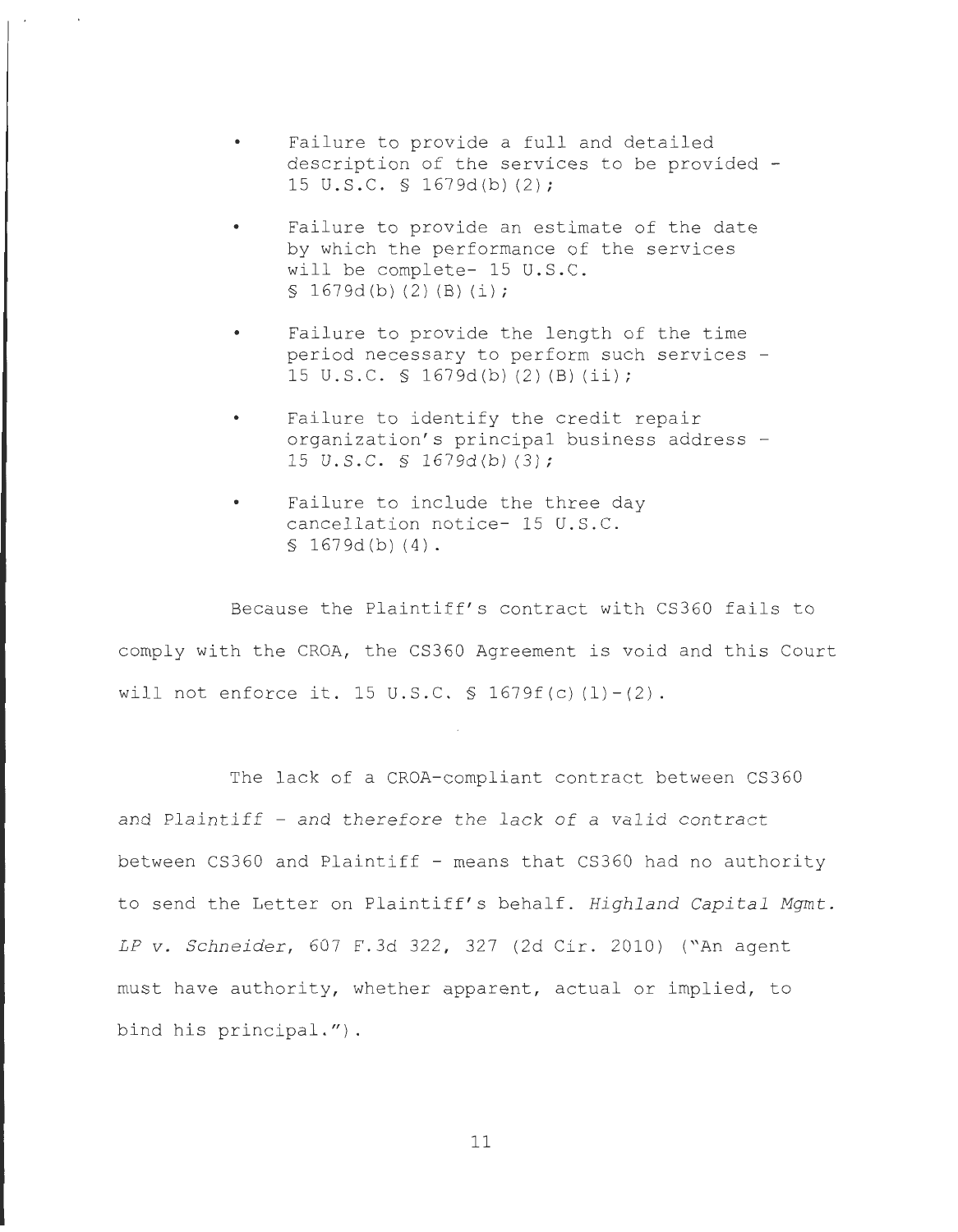- Failure to provide a full and detailed description of the services to be provided - 15 U.S.C. § 1679d(b)(2);
- Failure to provide an estimate of the date by which the performance of the services will be complete- 15 U.S.C.  $$1679d(b)(2)(B)(i);$
- Failure to provide the length of the time period necessary to perform such services - 15 U.S.C. § 1679d(b)(2)(B)(ii);
- Failure to identify the credit repair organization's principal business address -15 u.s.c . § 1679d(b) (3) ;
- Failure to include the three day cancellation notice- 15 U.S.C.  $$1679d(b)(4).$

Because the Plaintiff's contract with CS360 fails to comply with the CROA, the CS360 Agreement is void and this Court will not enforce it. 15 U.S.C.  $\frac{1}{5}$  1679f(c)(1)-(2).

The lack of a CROA-compliant contract between CS360 and Plaintiff - and therefore the lack of a valid contract between CS360 and Plaintiff - means that CS360 had no authority to send the Letter on Plaintiff's behalf. Highland Capital Mgmt. *LP v. Schneider, 607 F.3d 322, 327 (2d Cir. 2010) ("An agent* must have authority, whether apparent, actual or implied, to bind his principal.").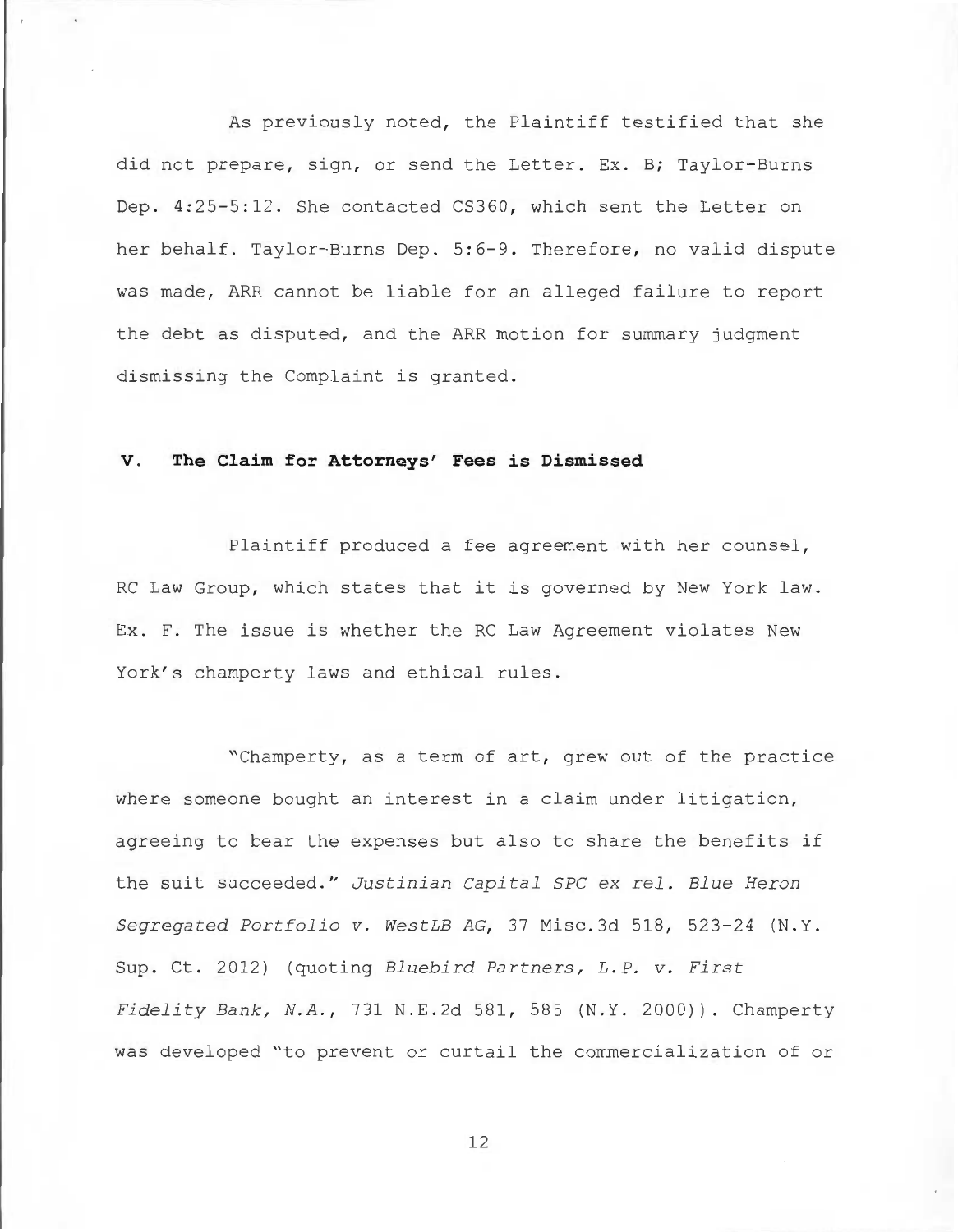As previously noted, the Plaintiff testified that she did not prepare, sign, or send the Letter. Ex. B; Taylor-Burns Dep. 4:25-5:12. She contacted CS360, which sent the Letter on her behalf. Taylor-Burns Dep. 5:6-9. Therefore, no valid dispute was made, ARR cannot be liable for an alleged failure to report the debt as disputed, and the ARR motion for summary judgment dismissing the Complaint is granted.

#### **V. The Claim for Attorneys' Fees is Dismissed**

Plaintiff produced a fee agreement with her counsel, RC Law Group, which states that it is governed by New York law. Ex. F. The issue is whether the RC Law Agreement violates New York's champerty laws and ethical rules.

"Champerty, as a term of art, grew out of the practice where someone bought an interest in a claim under litigation, agreeing to bear the expenses but also to share the benefits if the suit succeeded." *Justinian Capital SPC ex rel. Blue Heron Segregated Portfolio v . WestLB AG,* 37 Misc . 3d 518, 523-24 (N.Y . Sup. Ct. 2012) (quoting *Bluebird Partners, L.P. v. First Fidelity Bank, N. A. ,* 731 N. E . 2d 581 , 585 (N.Y . 2000)). Champerty was developed "to prevent or curtail the commercialization of or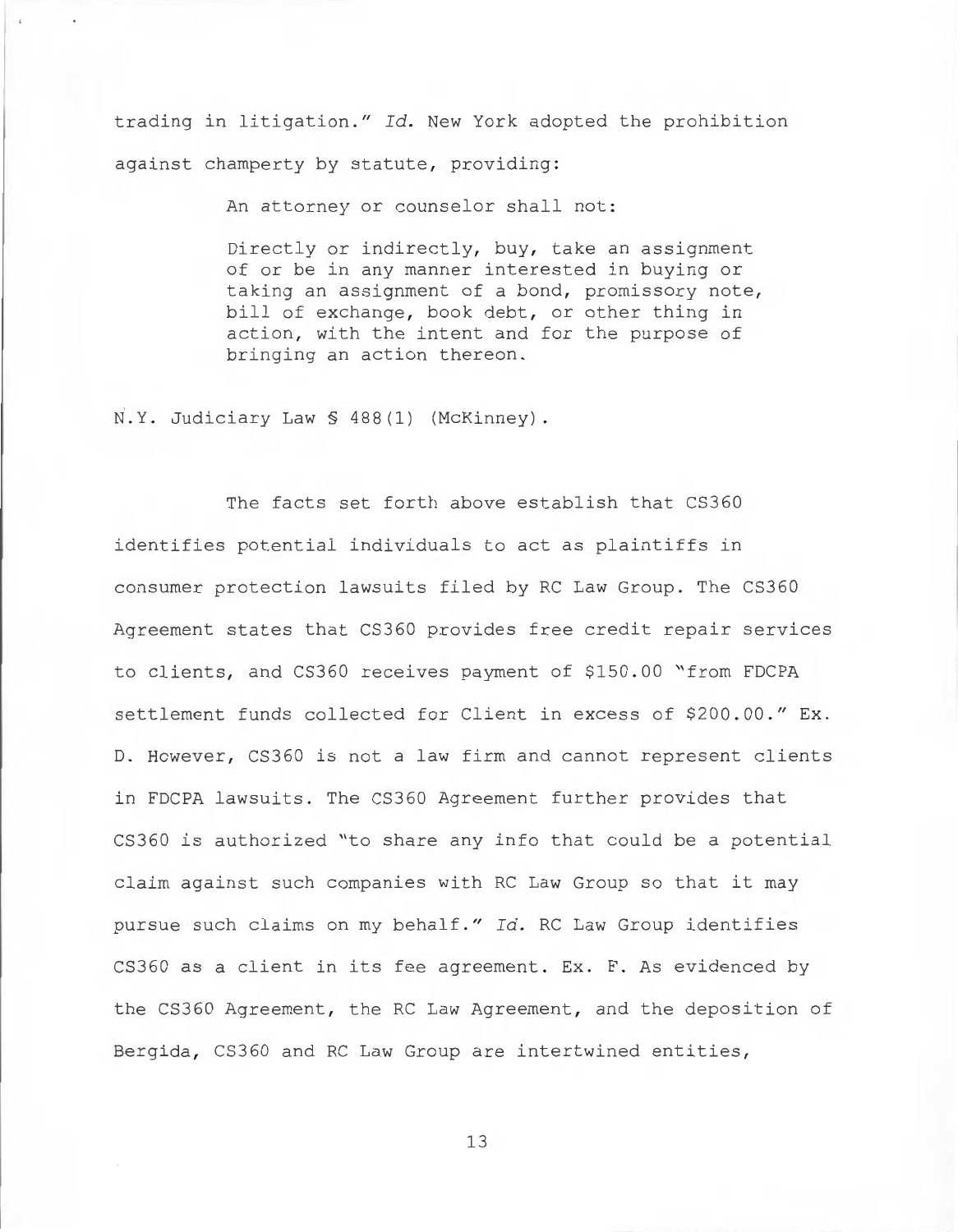trading in litigation." Id. New York adopted the prohibition against champerty by statute, providing:

An attorney or counselor shall not:

Directly or indirectly, buy, take an assignment of or be in any manner interested in buying or taking an assignment of a bond, promissory note, bill of exchange, book debt, or other thing in action, with the intent and for the purpose of bringing an action thereon.

N.Y. Judiciary Law § 488(1) (McKinney).

The facts set forth above establish that CS360 identifies potential individuals to act as plaintiffs in consumer protection lawsuits filed by RC Law Group. The CS360 Agreement states that CS360 provides free credit repair services to clients, and CS360 receives payment of \$150 . 00 "from FDCPA settlement funds collected for Client in excess of \$200.00." Ex. D. However, CS360 is not a law firm and cannot represent clients in FDCPA lawsuits. The CS360 Agreement further provides that CS360 is authorized "to share any info that could be a potential claim against such companies with RC Law Group so that it may pursue such claims on my behalf." *Id.* RC Law Group identifies CS360 as a client in its fee agreement. Ex. F. As evidenced by the CS360 Agreement, the RC Law Agreement, and the deposition of Bergida, CS360 and RC Law Group are intertwined entities,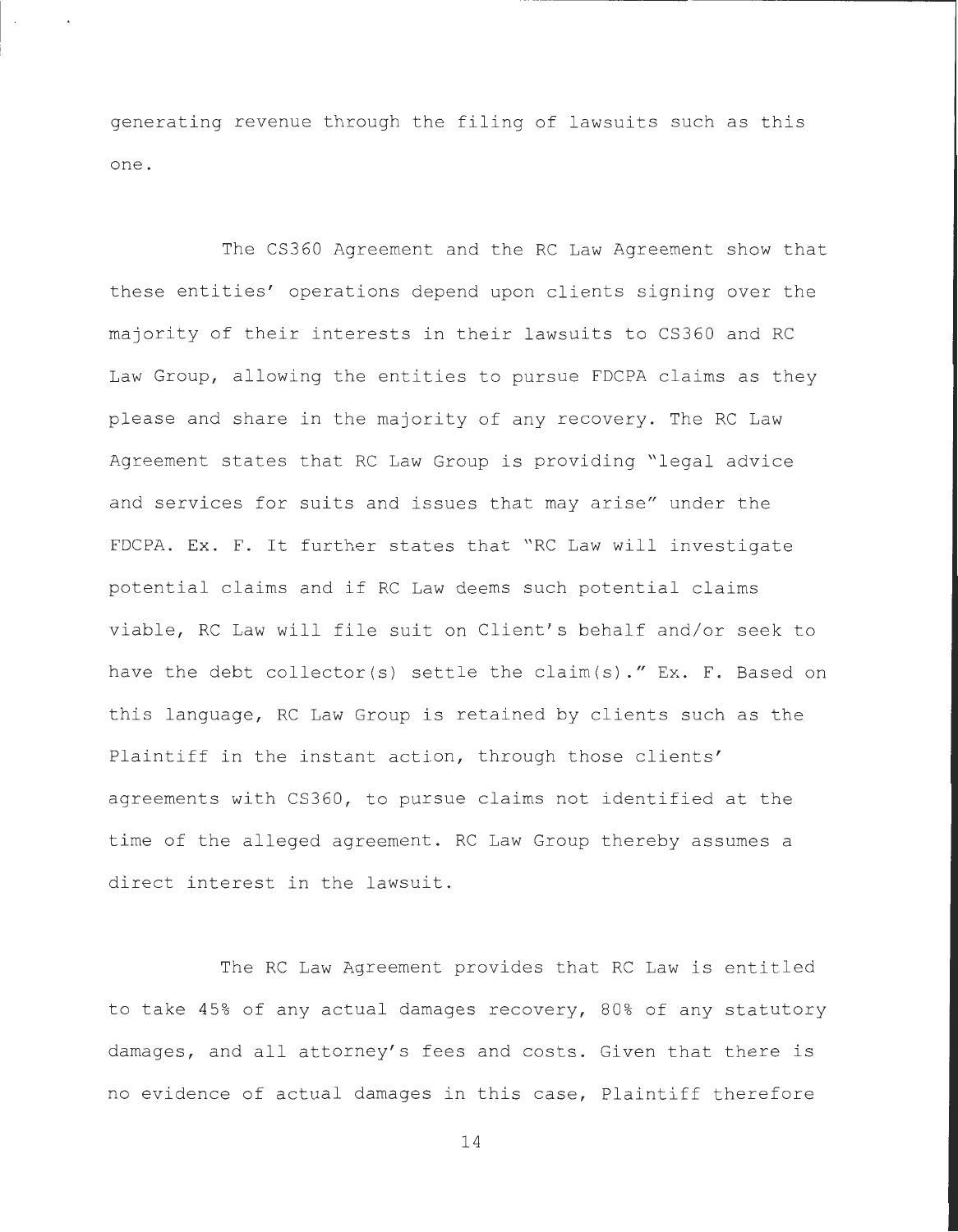generating revenue through the filing of lawsuits such as this one.

The CS360 Agreement and the RC Law Agreement show that these entities' operations depend upon clients signing over the majority of their interests in their lawsuits to CS360 and RC Law Group, allowing the entities to pursue FDCPA claims as they please and share in the majority of any recovery. The RC Law Agreement states that RC Law Group is providing "legal advice and services for suits and issues that may arise" under the FDCPA. Ex. F. It further states that "RC Law will investigate potential claims and if RC Law deems such potential claims viable, RC Law will file suit on Client's behalf and/or seek to have the debt collector(s) settle the claim(s)." Ex. F. Based on this language, RC Law Group is retained by clients such as the Plaintiff in the instant action, through those clients' agreements with CS360, to pursue claims not identified at the time of the alleged agreement. RC Law Group thereby assumes a direct interest in the lawsuit.

The RC Law Agreement provides that RC Law is entitled to take 45% of any actual damages recovery, 80% of any statutory damages, and all attorney's fees and costs. Given that there is no evidence of actual damages in this case, Plaintiff therefore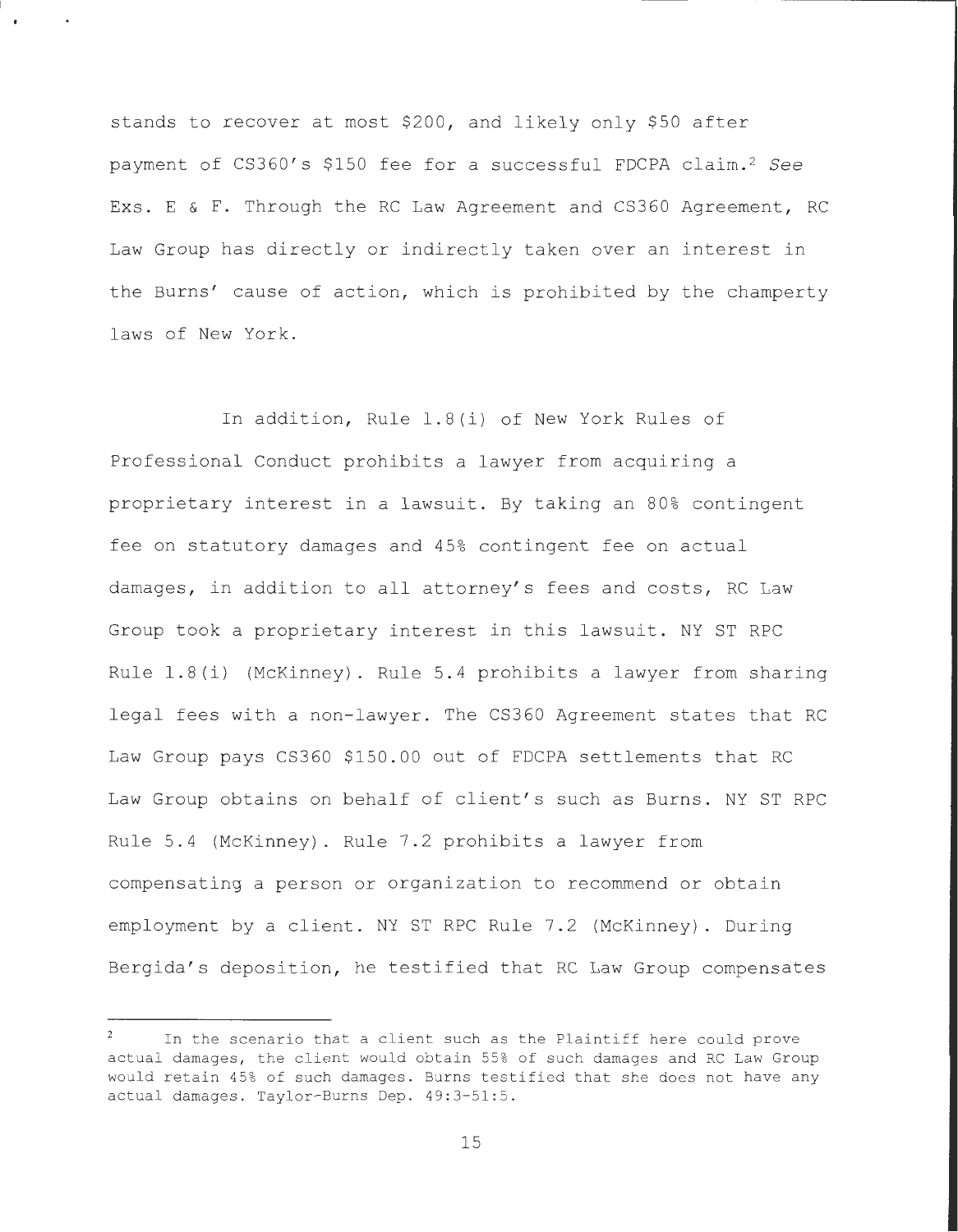stands to recover at most \$200, and likely only \$50 after payment of CS360's \$150 fee for a successful FDCPA claim.<sup>2</sup> See Exs. E & F. Through the RC Law Agreement and CS360 Agreement, RC Law Group has directly or indirectly taken over an interest in the Burns' cause of action, which is prohibited by the champerty laws of New York.

In addition, Rule 1.8(i) of New York Rules of Professional Conduct prohibits a lawyer from acquiring a proprietary interest in a lawsuit. By taking an 80% contingent fee on statutory damages and 45% contingent fee on actual damages, in addition to all attorney's fees and costs, RC Law Group took a proprietary interest in this lawsuit. NY ST RPC Rule 1.8(i) (McKinney). Rule 5.4 prohibits a lawyer from sharing legal fees with a non-lawyer. The CS360 Agreement states that RC Law Group pays CS360 \$150.00 out of FDCPA settlements that RC Law Group obtains on behalf of client's such as Burns. NY ST RPC Rule 5.4 (McKinney). Rule 7.2 prohibits a lawyer from compensating a person or organization to recommend or obtain employment by a client. NY ST RPC Rule 7.2 (McKinney). During Bergida's deposition, he testified that RC Law Group compensates

In the scenario that a client such as the Plaintiff here could prove actual damages, the client would obtain 55% of such damages and RC Law Group would retain 45% of such damages. Burns testified that she does not have any actual damages. Taylor-Burns Dep. 49:3-51:5.